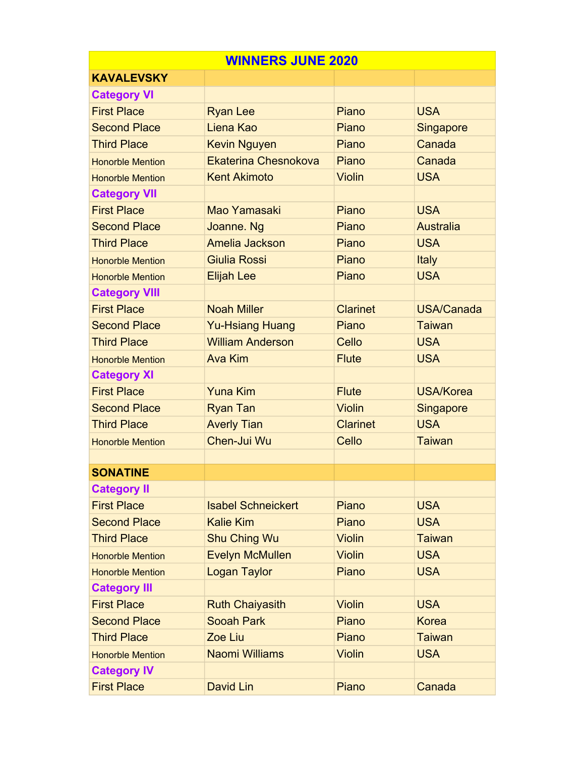| <b>WINNERS JUNE 2020</b> |                           |                 |                   |  |
|--------------------------|---------------------------|-----------------|-------------------|--|
| <b>KAVALEVSKY</b>        |                           |                 |                   |  |
| <b>Category VI</b>       |                           |                 |                   |  |
| <b>First Place</b>       | <b>Ryan Lee</b>           | Piano           | <b>USA</b>        |  |
| <b>Second Place</b>      | Liena Kao                 | Piano           | <b>Singapore</b>  |  |
| <b>Third Place</b>       | <b>Kevin Nguyen</b>       | Piano           | Canada            |  |
| <b>Honorble Mention</b>  | Ekaterina Chesnokova      | Piano           | Canada            |  |
| <b>Honorble Mention</b>  | <b>Kent Akimoto</b>       | <b>Violin</b>   | <b>USA</b>        |  |
| <b>Category VII</b>      |                           |                 |                   |  |
| <b>First Place</b>       | Mao Yamasaki              | Piano           | <b>USA</b>        |  |
| <b>Second Place</b>      | Joanne. Ng                | Piano           | <b>Australia</b>  |  |
| <b>Third Place</b>       | Amelia Jackson            | Piano           | <b>USA</b>        |  |
| <b>Honorble Mention</b>  | <b>Giulia Rossi</b>       | Piano           | <b>Italy</b>      |  |
| <b>Honorble Mention</b>  | <b>Elijah Lee</b>         | Piano           | <b>USA</b>        |  |
| <b>Category VIII</b>     |                           |                 |                   |  |
| <b>First Place</b>       | <b>Noah Miller</b>        | <b>Clarinet</b> | <b>USA/Canada</b> |  |
| <b>Second Place</b>      | <b>Yu-Hsiang Huang</b>    | Piano           | <b>Taiwan</b>     |  |
| <b>Third Place</b>       | <b>William Anderson</b>   | Cello           | <b>USA</b>        |  |
| <b>Honorble Mention</b>  | <b>Ava Kim</b>            | <b>Flute</b>    | <b>USA</b>        |  |
| <b>Category XI</b>       |                           |                 |                   |  |
| <b>First Place</b>       | <b>Yuna Kim</b>           | <b>Flute</b>    | <b>USA/Korea</b>  |  |
| <b>Second Place</b>      | <b>Ryan Tan</b>           | <b>Violin</b>   | <b>Singapore</b>  |  |
| <b>Third Place</b>       | <b>Averly Tian</b>        | <b>Clarinet</b> | <b>USA</b>        |  |
| <b>Honorble Mention</b>  | Chen-Jui Wu               | Cello           | <b>Taiwan</b>     |  |
|                          |                           |                 |                   |  |
| <b>SONATINE</b>          |                           |                 |                   |  |
| <b>Category II</b>       |                           |                 |                   |  |
| <b>First Place</b>       | <b>Isabel Schneickert</b> | Piano           | <b>USA</b>        |  |
| <b>Second Place</b>      | <b>Kalie Kim</b>          | Piano           | <b>USA</b>        |  |
| <b>Third Place</b>       | <b>Shu Ching Wu</b>       | <b>Violin</b>   | <b>Taiwan</b>     |  |
| <b>Honorble Mention</b>  | <b>Evelyn McMullen</b>    | <b>Violin</b>   | <b>USA</b>        |  |
| <b>Honorble Mention</b>  | <b>Logan Taylor</b>       | Piano           | <b>USA</b>        |  |
| <b>Category III</b>      |                           |                 |                   |  |
| <b>First Place</b>       | <b>Ruth Chaiyasith</b>    | <b>Violin</b>   | <b>USA</b>        |  |
| <b>Second Place</b>      | <b>Sooah Park</b>         | Piano           | <b>Korea</b>      |  |
| <b>Third Place</b>       | Zoe Liu                   | Piano           | <b>Taiwan</b>     |  |
| <b>Honorble Mention</b>  | <b>Naomi Williams</b>     | <b>Violin</b>   | <b>USA</b>        |  |
| <b>Category IV</b>       |                           |                 |                   |  |
| <b>First Place</b>       | David Lin                 | Piano           | Canada            |  |